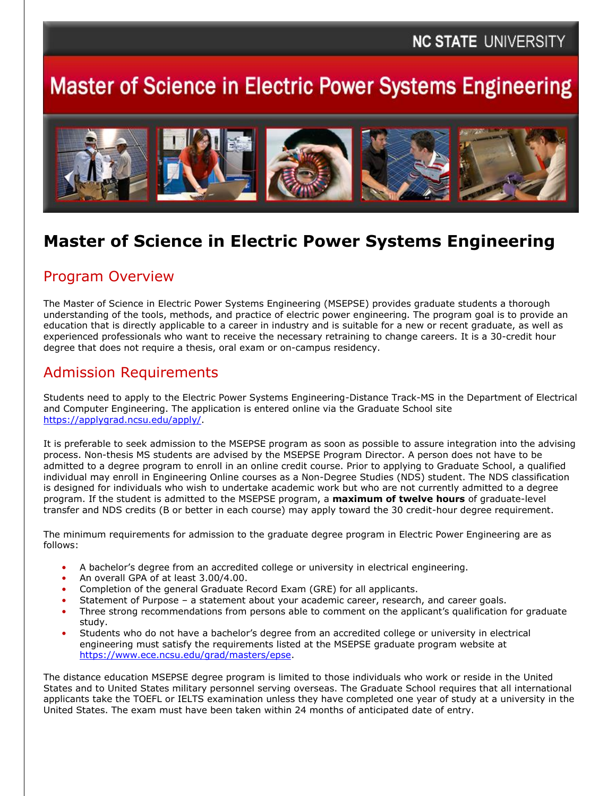# **Master of Science in Electric Power Systems Engineering**



# **Master of Science in Electric Power Systems Engineering**

#### Program Overview

The Master of Science in Electric Power Systems Engineering (MSEPSE) provides graduate students a thorough understanding of the tools, methods, and practice of electric power engineering. The program goal is to provide an education that is directly applicable to a career in industry and is suitable for a new or recent graduate, as well as experienced professionals who want to receive the necessary retraining to change careers. It is a 30-credit hour degree that does not require a thesis, oral exam or on-campus residency.

### Admission Requirements

Students need to apply to the Electric Power Systems Engineering-Distance Track-MS in the Department of Electrical and Computer Engineering. The application is entered online via the Graduate School site [https://applygrad.ncsu.edu/apply/.](https://applygrad.ncsu.edu/apply/)

It is preferable to seek admission to the MSEPSE program as soon as possible to assure integration into the advising process. Non-thesis MS students are advised by the MSEPSE Program Director. A person does not have to be admitted to a degree program to enroll in an online credit course. Prior to applying to Graduate School, a qualified individual may enroll in Engineering Online courses as a Non-Degree Studies (NDS) student. The NDS classification is designed for individuals who wish to undertake academic work but who are not currently admitted to a degree program. If the student is admitted to the MSEPSE program, a **maximum of twelve hours** of graduate-level transfer and NDS credits (B or better in each course) may apply toward the 30 credit-hour degree requirement.

The minimum requirements for admission to the graduate degree program in Electric Power Engineering are as follows:

- A bachelor's degree from an accredited college or university in electrical engineering.
- An overall GPA of at least 3.00/4.00.
- Completion of the general Graduate Record Exam (GRE) for all applicants.
- Statement of Purpose a statement about your academic career, research, and career goals.
- Three strong recommendations from persons able to comment on the applicant's qualification for graduate study.
- Students who do not have a bachelor's degree from an accredited college or university in electrical engineering must satisfy the requirements listed at the MSEPSE graduate program website at [https://www.ece.ncsu.edu/grad/masters/epse.](https://www.ece.ncsu.edu/grad/masters/epse)

The distance education MSEPSE degree program is limited to those individuals who work or reside in the United States and to United States military personnel serving overseas. The Graduate School requires that all international applicants take the TOEFL or IELTS examination unless they have completed one year of study at a university in the United States. The exam must have been taken within 24 months of anticipated date of entry.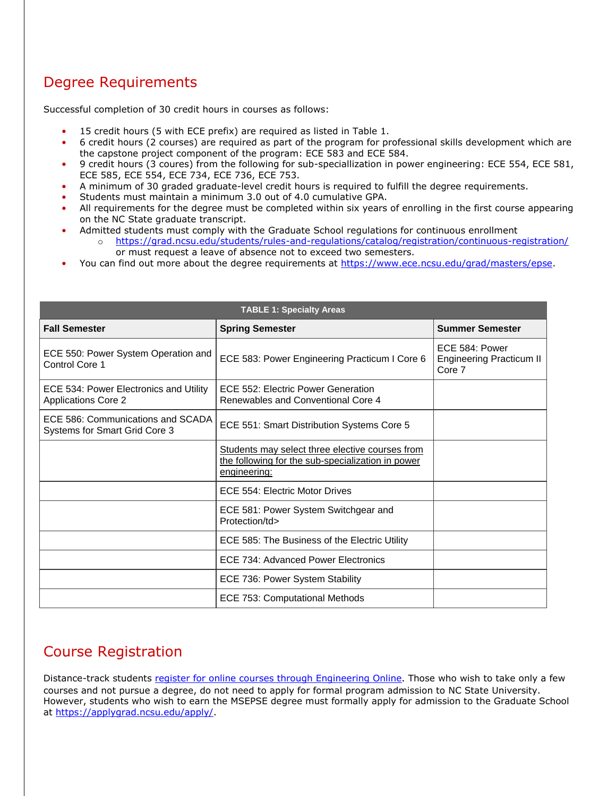## Degree Requirements

Successful completion of 30 credit hours in courses as follows:

- 15 credit hours (5 with ECE prefix) are required as listed in Table 1.
- 6 credit hours (2 courses) are required as part of the program for professional skills development which are the capstone project component of the program: ECE 583 and ECE 584.
- 9 credit hours (3 coures) from the following for sub-speciallization in power engineering: ECE 554, ECE 581, ECE 585, ECE 554, ECE 734, ECE 736, ECE 753.
- A minimum of 30 graded graduate-level credit hours is required to fulfill the degree requirements.
- Students must maintain a minimum 3.0 out of 4.0 cumulative GPA.
- All requirements for the degree must be completed within six years of enrolling in the first course appearing on the NC State graduate transcript.
- Admitted students must comply with the Graduate School regulations for continuous enrollment o <https://grad.ncsu.edu/students/rules-and-regulations/catalog/registration/continuous-registration/> or must request a leave of absence not to exceed two semesters.
- You can find out more about the degree requirements at [https://www.ece.ncsu.edu/grad/masters/epse.](https://www.ece.ncsu.edu/grad/masters/epse)

| <b>TABLE 1: Specialty Areas</b>                                      |                                                                                                                      |                                                             |
|----------------------------------------------------------------------|----------------------------------------------------------------------------------------------------------------------|-------------------------------------------------------------|
| <b>Fall Semester</b>                                                 | <b>Spring Semester</b>                                                                                               | <b>Summer Semester</b>                                      |
| ECE 550: Power System Operation and<br>Control Core 1                | ECE 583: Power Engineering Practicum I Core 6                                                                        | ECE 584: Power<br><b>Engineering Practicum II</b><br>Core 7 |
| ECE 534: Power Electronics and Utility<br><b>Applications Core 2</b> | ECE 552: Electric Power Generation<br>Renewables and Conventional Core 4                                             |                                                             |
| ECE 586: Communications and SCADA<br>Systems for Smart Grid Core 3   | ECE 551: Smart Distribution Systems Core 5                                                                           |                                                             |
|                                                                      | Students may select three elective courses from<br>the following for the sub-specialization in power<br>engineering: |                                                             |
|                                                                      | ECE 554: Electric Motor Drives                                                                                       |                                                             |
|                                                                      | ECE 581: Power System Switchgear and<br>Protection/td>                                                               |                                                             |
|                                                                      | ECE 585: The Business of the Electric Utility                                                                        |                                                             |
|                                                                      | ECE 734: Advanced Power Electronics                                                                                  |                                                             |
|                                                                      | ECE 736: Power System Stability                                                                                      |                                                             |
|                                                                      | ECE 753: Computational Methods                                                                                       |                                                             |

## Course Registration

Distance-track students [register for online courses through Engineering Online](https://www.engineeringonline.ncsu.edu/apply-and-enroll/enroll/). Those who wish to take only a few courses and not pursue a degree, do not need to apply for formal program admission to NC State University. However, students who wish to earn the MSEPSE degree must formally apply for admission to the Graduate School at [https://applygrad.ncsu.edu/apply/.](https://applygrad.ncsu.edu/apply/)